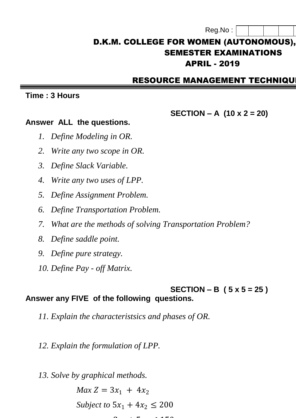| Reg.No |  |
|--------|--|
|        |  |

# D.K.M. COLLEGE FOR WOMEN (AUTONOMOUS), SEMESTER EXAMINATIONS **APRIL - 2019**

## RESOURCE MANAGEMENT TECHNIQU

#### **Time : 3 Hours**

## **SECTION – A (10 x 2 = 20)**

#### **Answer ALL the questions.**

- *1. Define Modeling in OR.*
- *2. Write any two scope in OR.*
- *3. Define Slack Variable.*
- *4. Write any two uses of LPP.*
- *5. Define Assignment Problem.*
- *6. Define Transportation Problem.*
- *7. What are the methods of solving Transportation Problem?*
- *8. Define saddle point.*
- *9. Define pure strategy.*
- *10. Define Pay - off Matrix.*

### **SECTION – B ( 5 x 5 = 25 ) Answer any FIVE of the following questions.**

*11. Explain the characteristsics and phases of OR.*

**31 + 52 ≤ 150** ∴ 52 ≤ 150 ≤ 150 ≤ 150 ≤ 150 ≤ 150 ≤ 150 ≤ 150 ≤ 150 ≤ 150 ≤ 150 ≤ 150 ≤ 150 ≤ 150 ≤ 150 ≤ 150 ≤ 150 ≤ 150 ≤ 150 ≤ 150 ≤ 150 ≤ 150 ≤ 150 ≤ 150 ≤ 150 ≤ 150 ≤ 150 ≤ 150 ≤ 150 ≤ 150 ≤ 150 ≤ 150 ≤ 150 ≤ 150 ≤

*12. Explain the formulation of LPP.*

*13. Solve by graphical methods.*  $Max Z = 3x_1 + 4x_2$ *Subject to*  $5x_1 + 4x_2 \le 200$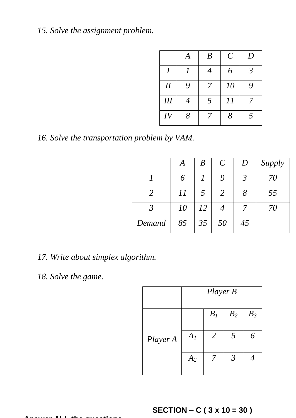# *15. Solve the assignment problem.*

|                  | A              | $\boldsymbol{B}$ | $\mathcal{C}$ | D              |
|------------------|----------------|------------------|---------------|----------------|
| $\boldsymbol{I}$ |                | $\overline{4}$   | 6             | $\mathfrak{Z}$ |
| $I\!I$           | 9              |                  | 10            | 9              |
| III              | $\overline{4}$ | 5                | 11            |                |
| IV               | 8              |                  | 8             | $\overline{5}$ |

*16. Solve the transportation problem by VAM.*

|        | A  | $\boldsymbol{B}$ | $\mathcal{C}_{0}^{(n)}$ | D  | Supply |
|--------|----|------------------|-------------------------|----|--------|
|        | 6  |                  |                         |    | 70     |
|        | 11 | 5                | 2                       | 8  | 55     |
|        | 10 | 12               |                         |    | 70     |
| Demand | 85 | 35               | 50                      | 45 |        |

*17. Write about simplex algorithm.*

# *18. Solve the game.*

|          | Player B |       |                |       |
|----------|----------|-------|----------------|-------|
|          |          | $B_I$ | B <sub>2</sub> | $B_3$ |
| Player A | $A_I$    | 2     | 5              | 6     |
|          | $A_2$    |       | $\mathfrak{Z}$ |       |

# **SECTION – C ( 3 x 10 = 30 )**